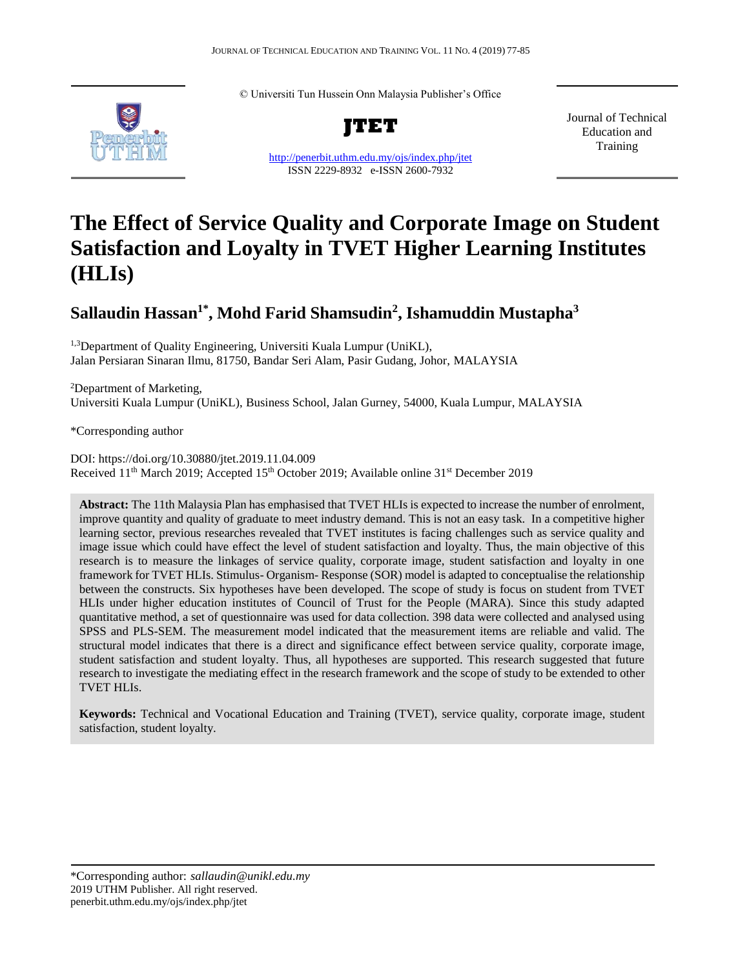

© Universiti Tun Hussein Onn Malaysia Publisher's Office



<http://penerbit.uthm.edu.my/ojs/index.php/jtet> ISSN 2229-8932 e-ISSN 2600-7932

Journal of Technical Education and Training

# **The Effect of Service Quality and Corporate Image on Student Satisfaction and Loyalty in TVET Higher Learning Institutes (HLIs)**

## **Sallaudin Hassan1\* , Mohd Farid Shamsudin<sup>2</sup> , Ishamuddin Mustapha<sup>3</sup>**

<sup>1,3</sup>Department of Quality Engineering, Universiti Kuala Lumpur (UniKL), Jalan Persiaran Sinaran Ilmu, 81750, Bandar Seri Alam, Pasir Gudang, Johor, MALAYSIA

<sup>2</sup>Department of Marketing, Universiti Kuala Lumpur (UniKL), Business School, Jalan Gurney, 54000, Kuala Lumpur, MALAYSIA

\*Corresponding author

DOI: https://doi.org/10.30880/jtet.2019.11.04.009 Received 11<sup>th</sup> March 2019; Accepted 15<sup>th</sup> October 2019; Available online 31<sup>st</sup> December 2019

**Abstract:** The 11th Malaysia Plan has emphasised that TVET HLIs is expected to increase the number of enrolment, improve quantity and quality of graduate to meet industry demand. This is not an easy task. In a competitive higher learning sector, previous researches revealed that TVET institutes is facing challenges such as service quality and image issue which could have effect the level of student satisfaction and loyalty. Thus, the main objective of this research is to measure the linkages of service quality, corporate image, student satisfaction and loyalty in one framework for TVET HLIs. Stimulus- Organism- Response (SOR) model is adapted to conceptualise the relationship between the constructs. Six hypotheses have been developed. The scope of study is focus on student from TVET HLIs under higher education institutes of Council of Trust for the People (MARA). Since this study adapted quantitative method, a set of questionnaire was used for data collection. 398 data were collected and analysed using SPSS and PLS-SEM. The measurement model indicated that the measurement items are reliable and valid. The structural model indicates that there is a direct and significance effect between service quality, corporate image, student satisfaction and student loyalty. Thus, all hypotheses are supported. This research suggested that future research to investigate the mediating effect in the research framework and the scope of study to be extended to other TVET HLIs.

**Keywords:** Technical and Vocational Education and Training (TVET), service quality, corporate image, student satisfaction, student loyalty.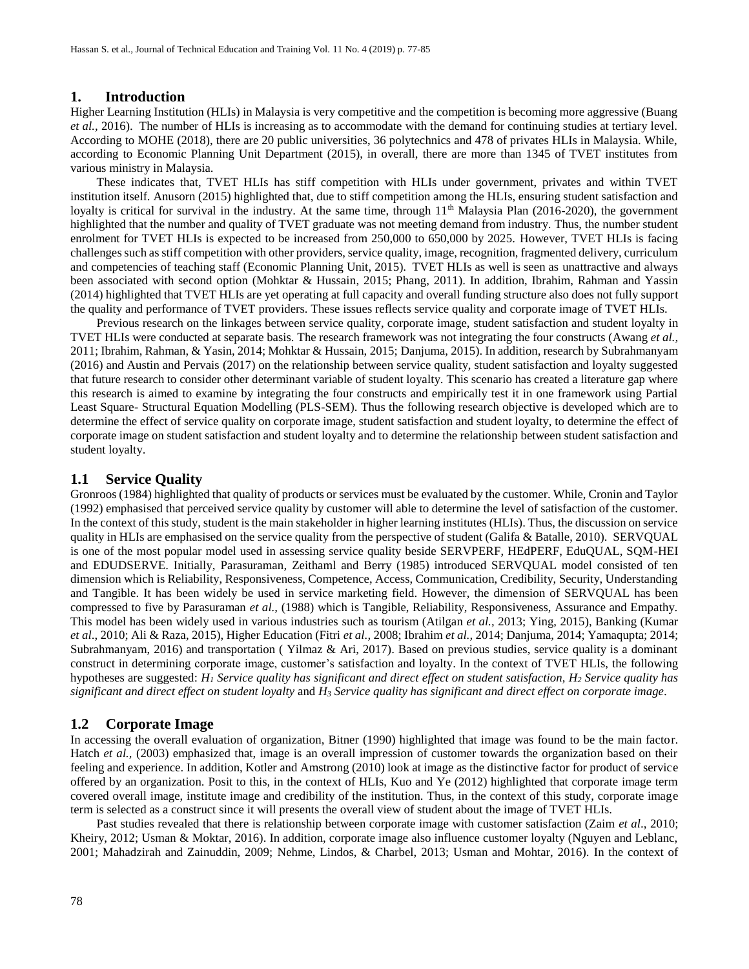### **1. Introduction**

Higher Learning Institution (HLIs) in Malaysia is very competitive and the competition is becoming more aggressive (Buang *et al.,* 2016). The number of HLIs is increasing as to accommodate with the demand for continuing studies at tertiary level. According to MOHE (2018), there are 20 public universities, 36 polytechnics and 478 of privates HLIs in Malaysia. While, according to Economic Planning Unit Department (2015), in overall, there are more than 1345 of TVET institutes from various ministry in Malaysia.

These indicates that, TVET HLIs has stiff competition with HLIs under government, privates and within TVET institution itself. Anusorn (2015) highlighted that, due to stiff competition among the HLIs, ensuring student satisfaction and loyalty is critical for survival in the industry. At the same time, through  $11<sup>th</sup>$  Malaysia Plan (2016-2020), the government highlighted that the number and quality of TVET graduate was not meeting demand from industry. Thus, the number student enrolment for TVET HLIs is expected to be increased from 250,000 to 650,000 by 2025. However, TVET HLIs is facing challenges such as stiff competition with other providers, service quality, image, recognition, fragmented delivery, curriculum and competencies of teaching staff (Economic Planning Unit, 2015). TVET HLIs as well is seen as unattractive and always been associated with second option (Mohktar & Hussain, 2015; Phang, 2011). In addition, Ibrahim, Rahman and Yassin (2014) highlighted that TVET HLIs are yet operating at full capacity and overall funding structure also does not fully support the quality and performance of TVET providers. These issues reflects service quality and corporate image of TVET HLIs.

Previous research on the linkages between service quality, corporate image, student satisfaction and student loyalty in TVET HLIs were conducted at separate basis. The research framework was not integrating the four constructs (Awang *et al.,* 2011; Ibrahim, Rahman, & Yasin, 2014; Mohktar & Hussain, 2015; Danjuma, 2015). In addition, research by Subrahmanyam (2016) and Austin and Pervais (2017) on the relationship between service quality, student satisfaction and loyalty suggested that future research to consider other determinant variable of student loyalty. This scenario has created a literature gap where this research is aimed to examine by integrating the four constructs and empirically test it in one framework using Partial Least Square- Structural Equation Modelling (PLS-SEM). Thus the following research objective is developed which are to determine the effect of service quality on corporate image, student satisfaction and student loyalty, to determine the effect of corporate image on student satisfaction and student loyalty and to determine the relationship between student satisfaction and student loyalty.

## **1.1 Service Quality**

Gronroos (1984) highlighted that quality of products or services must be evaluated by the customer. While, Cronin and Taylor (1992) emphasised that perceived service quality by customer will able to determine the level of satisfaction of the customer. In the context of this study, student is the main stakeholder in higher learning institutes (HLIs). Thus, the discussion on service quality in HLIs are emphasised on the service quality from the perspective of student (Galifa & Batalle, 2010). SERVQUAL is one of the most popular model used in assessing service quality beside SERVPERF, HEdPERF, EduQUAL, SQM-HEI and EDUDSERVE. Initially, Parasuraman*,* Zeithaml and Berry (1985) introduced SERVQUAL model consisted of ten dimension which is Reliability, Responsiveness, Competence, Access, Communication, Credibility, Security, Understanding and Tangible. It has been widely be used in service marketing field. However, the dimension of SERVQUAL has been compressed to five by Parasuraman *et al.,* (1988) which is Tangible, Reliability, Responsiveness, Assurance and Empathy. This model has been widely used in various industries such as tourism (Atilgan *et al.,* 2013; Ying, 2015), Banking (Kumar *et al*., 2010; Ali & Raza, 2015), Higher Education (Fitri *et al.,* 2008; Ibrahim *et al.,* 2014; Danjuma, 2014; Yamaqupta; 2014; Subrahmanyam, 2016) and transportation ( Yilmaz & Ari, 2017). Based on previous studies, service quality is a dominant construct in determining corporate image, customer's satisfaction and loyalty. In the context of TVET HLIs, the following hypotheses are suggested: *H<sup>1</sup> Service quality has significant and direct effect on student satisfaction, H<sup>2</sup> Service quality has significant and direct effect on student loyalty* and *H<sup>3</sup> Service quality has significant and direct effect on corporate image.*

#### **1.2 Corporate Image**

In accessing the overall evaluation of organization, Bitner (1990) highlighted that image was found to be the main factor. Hatch *et al.,* (2003) emphasized that, image is an overall impression of customer towards the organization based on their feeling and experience. In addition, Kotler and Amstrong (2010) look at image as the distinctive factor for product of service offered by an organization. Posit to this, in the context of HLIs, Kuo and Ye (2012) highlighted that corporate image term covered overall image, institute image and credibility of the institution. Thus, in the context of this study, corporate image term is selected as a construct since it will presents the overall view of student about the image of TVET HLIs.

Past studies revealed that there is relationship between corporate image with customer satisfaction (Zaim *et al*., 2010; Kheiry, 2012; Usman & Moktar, 2016). In addition, corporate image also influence customer loyalty (Nguyen and Leblanc, 2001; Mahadzirah and Zainuddin, 2009; Nehme, Lindos, & Charbel, 2013; Usman and Mohtar, 2016). In the context of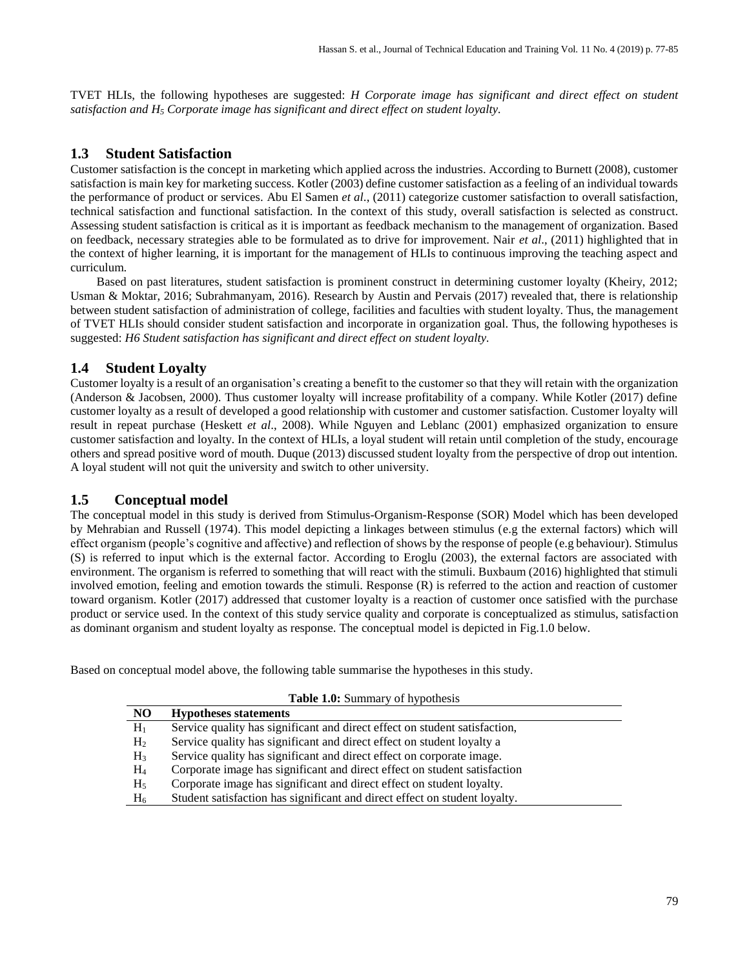TVET HLIs, the following hypotheses are suggested: *H Corporate image has significant and direct effect on student satisfaction and H<sup>5</sup> Corporate image has significant and direct effect on student loyalty.* 

## **1.3 Student Satisfaction**

Customer satisfaction is the concept in marketing which applied across the industries. According to Burnett (2008), customer satisfaction is main key for marketing success. Kotler (2003) define customer satisfaction as a feeling of an individual towards the performance of product or services. Abu El Samen *et al*., (2011) categorize customer satisfaction to overall satisfaction, technical satisfaction and functional satisfaction. In the context of this study, overall satisfaction is selected as construct. Assessing student satisfaction is critical as it is important as feedback mechanism to the management of organization. Based on feedback, necessary strategies able to be formulated as to drive for improvement. Nair *et al*., (2011) highlighted that in the context of higher learning, it is important for the management of HLIs to continuous improving the teaching aspect and curriculum.

Based on past literatures, student satisfaction is prominent construct in determining customer loyalty (Kheiry, 2012; Usman & Moktar, 2016; Subrahmanyam, 2016). Research by Austin and Pervais (2017) revealed that, there is relationship between student satisfaction of administration of college, facilities and faculties with student loyalty. Thus, the management of TVET HLIs should consider student satisfaction and incorporate in organization goal. Thus, the following hypotheses is suggested: *H6 Student satisfaction has significant and direct effect on student loyalty.*

## **1.4 Student Loyalty**

Customer loyalty is a result of an organisation's creating a benefit to the customer so that they will retain with the organization (Anderson & Jacobsen, 2000). Thus customer loyalty will increase profitability of a company. While Kotler (2017) define customer loyalty as a result of developed a good relationship with customer and customer satisfaction. Customer loyalty will result in repeat purchase (Heskett *et al*., 2008). While Nguyen and Leblanc (2001) emphasized organization to ensure customer satisfaction and loyalty. In the context of HLIs, a loyal student will retain until completion of the study, encourage others and spread positive word of mouth. Duque (2013) discussed student loyalty from the perspective of drop out intention. A loyal student will not quit the university and switch to other university.

## **1.5 Conceptual model**

The conceptual model in this study is derived from Stimulus-Organism-Response (SOR) Model which has been developed by Mehrabian and Russell (1974). This model depicting a linkages between stimulus (e.g the external factors) which will effect organism (people's cognitive and affective) and reflection of shows by the response of people (e.g behaviour). Stimulus (S) is referred to input which is the external factor. According to Eroglu (2003), the external factors are associated with environment. The organism is referred to something that will react with the stimuli. Buxbaum (2016) highlighted that stimuli involved emotion, feeling and emotion towards the stimuli. Response (R) is referred to the action and reaction of customer toward organism. Kotler (2017) addressed that customer loyalty is a reaction of customer once satisfied with the purchase product or service used. In the context of this study service quality and corporate is conceptualized as stimulus, satisfaction as dominant organism and student loyalty as response. The conceptual model is depicted in Fig.1.0 below.

Based on conceptual model above, the following table summarise the hypotheses in this study.

| <b>Table 1.0:</b> Summary of hypothesis |                                                                            |  |  |  |  |
|-----------------------------------------|----------------------------------------------------------------------------|--|--|--|--|
| N <sub>O</sub>                          | <b>Hypotheses statements</b>                                               |  |  |  |  |
| $H_1$                                   | Service quality has significant and direct effect on student satisfaction, |  |  |  |  |
| H <sub>2</sub>                          | Service quality has significant and direct effect on student loyalty a     |  |  |  |  |
| H <sub>3</sub>                          | Service quality has significant and direct effect on corporate image.      |  |  |  |  |
| $\rm{H}_{4}$                            | Corporate image has significant and direct effect on student satisfaction  |  |  |  |  |
| H <sub>5</sub>                          | Corporate image has significant and direct effect on student loyalty.      |  |  |  |  |
| $\rm{H}_{6}$                            | Student satisfaction has significant and direct effect on student loyalty. |  |  |  |  |

79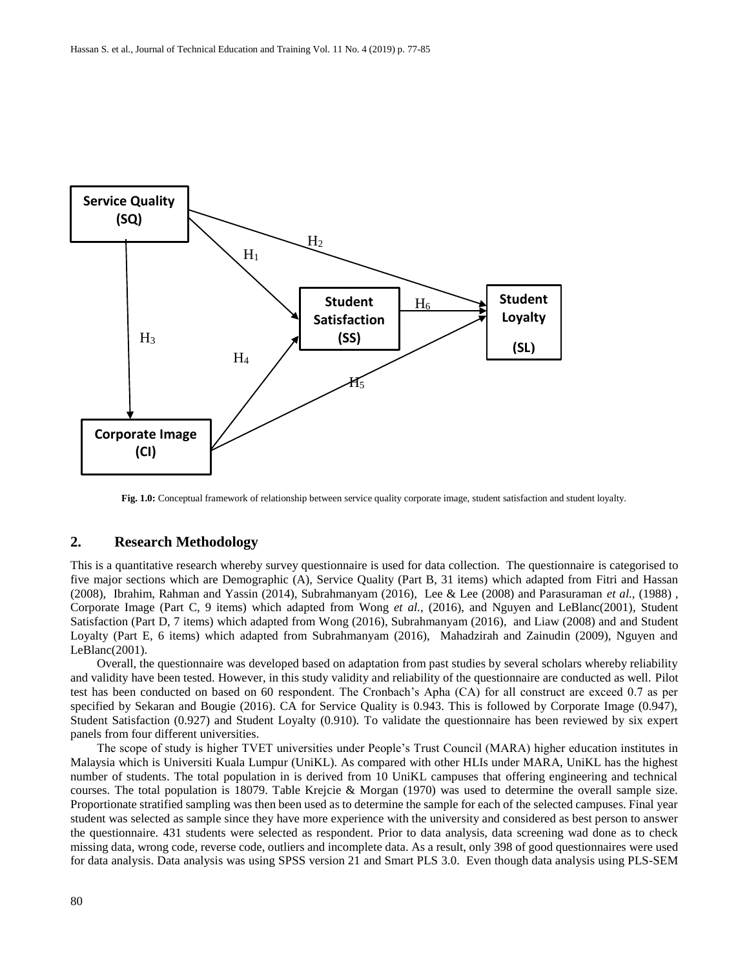

**Fig. 1.0:** Conceptual framework of relationship between service quality corporate image, student satisfaction and student loyalty.

## **2. Research Methodology**

This is a quantitative research whereby survey questionnaire is used for data collection. The questionnaire is categorised to five major sections which are Demographic (A), Service Quality (Part B, 31 items) which adapted from Fitri and Hassan (2008), Ibrahim, Rahman and Yassin (2014), Subrahmanyam (2016), Lee & Lee (2008) and Parasuraman *et al.,* (1988) , Corporate Image (Part C, 9 items) which adapted from Wong *et al.,* (2016), and Nguyen and LeBlanc(2001), Student Satisfaction (Part D, 7 items) which adapted from Wong (2016), Subrahmanyam (2016), and Liaw (2008) and and Student Loyalty (Part E, 6 items) which adapted from Subrahmanyam (2016), Mahadzirah and Zainudin (2009), Nguyen and LeBlanc(2001).

Overall, the questionnaire was developed based on adaptation from past studies by several scholars whereby reliability and validity have been tested. However, in this study validity and reliability of the questionnaire are conducted as well. Pilot test has been conducted on based on 60 respondent. The Cronbach's Apha (CA) for all construct are exceed 0.7 as per specified by Sekaran and Bougie (2016). CA for Service Quality is 0.943. This is followed by Corporate Image (0.947), Student Satisfaction (0.927) and Student Loyalty (0.910). To validate the questionnaire has been reviewed by six expert panels from four different universities.

The scope of study is higher TVET universities under People's Trust Council (MARA) higher education institutes in Malaysia which is Universiti Kuala Lumpur (UniKL). As compared with other HLIs under MARA, UniKL has the highest number of students. The total population in is derived from 10 UniKL campuses that offering engineering and technical courses. The total population is 18079. Table Krejcie & Morgan (1970) was used to determine the overall sample size. Proportionate stratified sampling was then been used as to determine the sample for each of the selected campuses. Final year student was selected as sample since they have more experience with the university and considered as best person to answer the questionnaire. 431 students were selected as respondent. Prior to data analysis, data screening wad done as to check missing data, wrong code, reverse code, outliers and incomplete data. As a result, only 398 of good questionnaires were used for data analysis. Data analysis was using SPSS version 21 and Smart PLS 3.0. Even though data analysis using PLS-SEM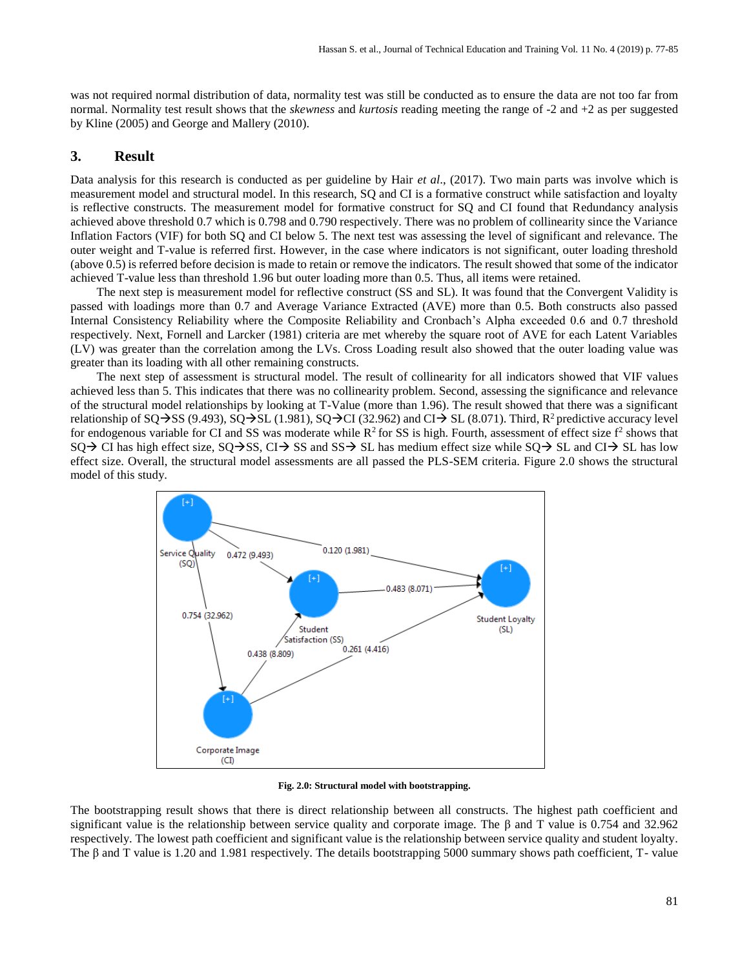was not required normal distribution of data, normality test was still be conducted as to ensure the data are not too far from normal. Normality test result shows that the *skewness* and *kurtosis* reading meeting the range of -2 and +2 as per suggested by Kline (2005) and George and Mallery (2010).

## **3. Result**

Data analysis for this research is conducted as per guideline by Hair *et al*., (2017). Two main parts was involve which is measurement model and structural model. In this research, SQ and CI is a formative construct while satisfaction and loyalty is reflective constructs. The measurement model for formative construct for SQ and CI found that Redundancy analysis achieved above threshold 0.7 which is 0.798 and 0.790 respectively. There was no problem of collinearity since the Variance Inflation Factors (VIF) for both SQ and CI below 5. The next test was assessing the level of significant and relevance. The outer weight and T-value is referred first. However, in the case where indicators is not significant, outer loading threshold (above 0.5) is referred before decision is made to retain or remove the indicators. The result showed that some of the indicator achieved T-value less than threshold 1.96 but outer loading more than 0.5. Thus, all items were retained.

The next step is measurement model for reflective construct (SS and SL). It was found that the Convergent Validity is passed with loadings more than 0.7 and Average Variance Extracted (AVE) more than 0.5. Both constructs also passed Internal Consistency Reliability where the Composite Reliability and Cronbach's Alpha exceeded 0.6 and 0.7 threshold respectively. Next, Fornell and Larcker (1981) criteria are met whereby the square root of AVE for each Latent Variables (LV) was greater than the correlation among the LVs. Cross Loading result also showed that the outer loading value was greater than its loading with all other remaining constructs.

The next step of assessment is structural model. The result of collinearity for all indicators showed that VIF values achieved less than 5. This indicates that there was no collinearity problem. Second, assessing the significance and relevance of the structural model relationships by looking at T-Value (more than 1.96). The result showed that there was a significant relationship of SQ $\rightarrow$ SS (9.493), SQ $\rightarrow$ SL (1.981), SQ $\rightarrow$ CI (32.962) and CI $\rightarrow$  SL (8.071). Third, R<sup>2</sup> predictive accuracy level for endogenous variable for CI and SS was moderate while  $R^2$  for SS is high. Fourth, assessment of effect size  $f^2$  shows that  $SQ \rightarrow CI$  has high effect size,  $SQ \rightarrow SS$ ,  $CI \rightarrow SS$  and  $SS \rightarrow SL$  has medium effect size while  $SQ \rightarrow SL$  and  $CI \rightarrow SL$  has low effect size. Overall, the structural model assessments are all passed the PLS-SEM criteria. Figure 2.0 shows the structural model of this study.



**Fig. 2.0: Structural model with bootstrapping.**

The bootstrapping result shows that there is direct relationship between all constructs. The highest path coefficient and significant value is the relationship between service quality and corporate image. The β and T value is 0.754 and 32.962 respectively. The lowest path coefficient and significant value is the relationship between service quality and student loyalty. The β and T value is 1.20 and 1.981 respectively. The details bootstrapping 5000 summary shows path coefficient, T- value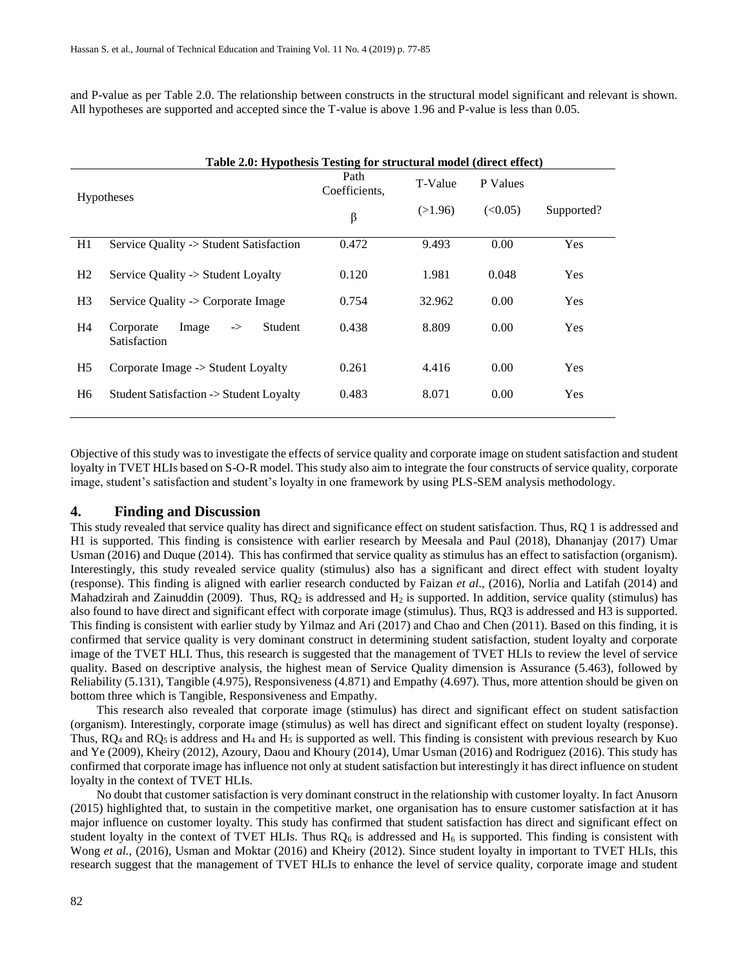and P-value as per Table 2.0. The relationship between constructs in the structural model significant and relevant is shown. All hypotheses are supported and accepted since the T-value is above 1.96 and P-value is less than 0.05.

| Table 2.0: Hypothesis Testing for structural model (direct effect) |                                                                |                       |         |          |            |  |  |
|--------------------------------------------------------------------|----------------------------------------------------------------|-----------------------|---------|----------|------------|--|--|
| <b>Hypotheses</b>                                                  |                                                                | Path<br>Coefficients, | T-Value | P Values |            |  |  |
|                                                                    |                                                                | $\beta$               | (>1.96) | (<0.05)  | Supported? |  |  |
| H1                                                                 | Service Quality -> Student Satisfaction                        | 0.472                 | 9.493   | 0.00     | <b>Yes</b> |  |  |
| H2                                                                 | Service Ouality -> Student Loyalty                             | 0.120                 | 1.981   | 0.048    | <b>Yes</b> |  |  |
| H <sub>3</sub>                                                     | Service Quality -> Corporate Image                             | 0.754                 | 32.962  | 0.00     | <b>Yes</b> |  |  |
| H4                                                                 | Image<br>Student<br>Corporate<br>$\Rightarrow$<br>Satisfaction | 0.438                 | 8.809   | 0.00     | <b>Yes</b> |  |  |
| H <sub>5</sub>                                                     | Corporate Image -> Student Loyalty                             | 0.261                 | 4.416   | 0.00     | <b>Yes</b> |  |  |
| H <sub>6</sub>                                                     | Student Satisfaction -> Student Loyalty                        | 0.483                 | 8.071   | 0.00     | <b>Yes</b> |  |  |

Objective of this study was to investigate the effects of service quality and corporate image on student satisfaction and student loyalty in TVET HLIs based on S-O-R model. This study also aim to integrate the four constructs of service quality, corporate image, student's satisfaction and student's loyalty in one framework by using PLS-SEM analysis methodology.

## **4. Finding and Discussion**

This study revealed that service quality has direct and significance effect on student satisfaction. Thus, RQ 1 is addressed and H1 is supported. This finding is consistence with earlier research by Meesala and Paul (2018), Dhananjay (2017) Umar Usman (2016) and Duque (2014). This has confirmed that service quality as stimulus has an effect to satisfaction (organism). Interestingly, this study revealed service quality (stimulus) also has a significant and direct effect with student loyalty (response). This finding is aligned with earlier research conducted by Faizan *et al*., (2016), Norlia and Latifah (2014) and Mahadzirah and Zainuddin (2009). Thus,  $RQ_2$  is addressed and  $H_2$  is supported. In addition, service quality (stimulus) has also found to have direct and significant effect with corporate image (stimulus). Thus, RQ3 is addressed and H3 is supported. This finding is consistent with earlier study by Yilmaz and Ari (2017) and Chao and Chen (2011). Based on this finding, it is confirmed that service quality is very dominant construct in determining student satisfaction, student loyalty and corporate image of the TVET HLI. Thus, this research is suggested that the management of TVET HLIs to review the level of service quality. Based on descriptive analysis, the highest mean of Service Quality dimension is Assurance (5.463), followed by Reliability (5.131), Tangible (4.975), Responsiveness (4.871) and Empathy (4.697). Thus, more attention should be given on bottom three which is Tangible, Responsiveness and Empathy.

This research also revealed that corporate image (stimulus) has direct and significant effect on student satisfaction (organism). Interestingly, corporate image (stimulus) as well has direct and significant effect on student loyalty (response). Thus,  $RQ_4$  and  $RQ_5$  is address and  $H_4$  and  $H_5$  is supported as well. This finding is consistent with previous research by Kuo and Ye (2009), Kheiry (2012), Azoury, Daou and Khoury (2014), Umar Usman (2016) and Rodriguez (2016). This study has confirmed that corporate image has influence not only at student satisfaction but interestingly it has direct influence on student loyalty in the context of TVET HLIs.

No doubt that customer satisfaction is very dominant construct in the relationship with customer loyalty. In fact Anusorn (2015) highlighted that, to sustain in the competitive market, one organisation has to ensure customer satisfaction at it has major influence on customer loyalty. This study has confirmed that student satisfaction has direct and significant effect on student loyalty in the context of TVET HLIs. Thus  $RO<sub>6</sub>$  is addressed and  $H<sub>6</sub>$  is supported. This finding is consistent with Wong *et al.*, (2016), Usman and Moktar (2016) and Kheiry (2012). Since student loyalty in important to TVET HLIs, this research suggest that the management of TVET HLIs to enhance the level of service quality, corporate image and student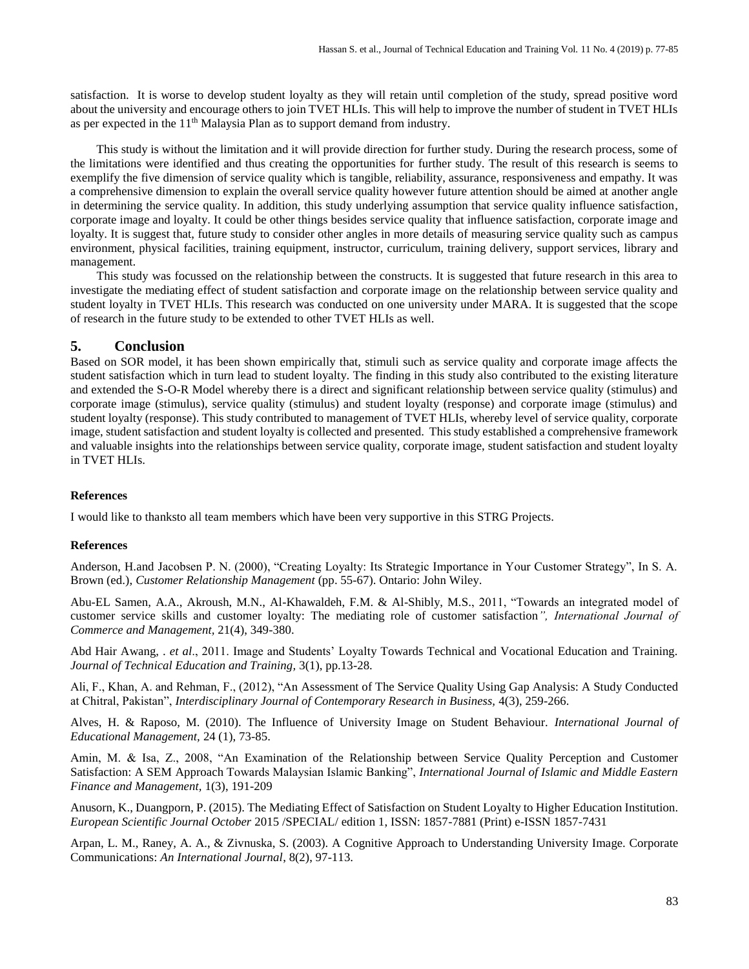satisfaction. It is worse to develop student loyalty as they will retain until completion of the study, spread positive word about the university and encourage others to join TVET HLIs. This will help to improve the number of student in TVET HLIs as per expected in the 11th Malaysia Plan as to support demand from industry.

This study is without the limitation and it will provide direction for further study. During the research process, some of the limitations were identified and thus creating the opportunities for further study. The result of this research is seems to exemplify the five dimension of service quality which is tangible, reliability, assurance, responsiveness and empathy. It was a comprehensive dimension to explain the overall service quality however future attention should be aimed at another angle in determining the service quality. In addition, this study underlying assumption that service quality influence satisfaction, corporate image and loyalty. It could be other things besides service quality that influence satisfaction, corporate image and loyalty. It is suggest that, future study to consider other angles in more details of measuring service quality such as campus environment, physical facilities, training equipment, instructor, curriculum, training delivery, support services, library and management.

This study was focussed on the relationship between the constructs. It is suggested that future research in this area to investigate the mediating effect of student satisfaction and corporate image on the relationship between service quality and student loyalty in TVET HLIs. This research was conducted on one university under MARA. It is suggested that the scope of research in the future study to be extended to other TVET HLIs as well.

## **5. Conclusion**

Based on SOR model, it has been shown empirically that, stimuli such as service quality and corporate image affects the student satisfaction which in turn lead to student loyalty. The finding in this study also contributed to the existing literature and extended the S-O-R Model whereby there is a direct and significant relationship between service quality (stimulus) and corporate image (stimulus), service quality (stimulus) and student loyalty (response) and corporate image (stimulus) and student loyalty (response). This study contributed to management of TVET HLIs, whereby level of service quality, corporate image, student satisfaction and student loyalty is collected and presented. This study established a comprehensive framework and valuable insights into the relationships between service quality, corporate image, student satisfaction and student loyalty in TVET HLIs.

#### **References**

I would like to thanksto all team members which have been very supportive in this STRG Projects.

#### **References**

Anderson, H.and Jacobsen P. N. (2000), "Creating Loyalty: Its Strategic Importance in Your Customer Strategy", In S. A. Brown (ed.), *Customer Relationship Management* (pp. 55-67). Ontario: John Wiley.

Abu-EL Samen, A.A., Akroush, M.N., Al-Khawaldeh, F.M. & Al-Shibly, M.S., 2011, "Towards an integrated model of customer service skills and customer loyalty: The mediating role of customer satisfaction*", International Journal of Commerce and Management,* 21(4), 349-380.

Abd Hair Awang, . *et al*., 2011. Image and Students' Loyalty Towards Technical and Vocational Education and Training. *Journal of Technical Education and Training,* 3(1), pp.13-28.

Ali, F., Khan, A. and Rehman, F., (2012), "An Assessment of The Service Quality Using Gap Analysis: A Study Conducted at Chitral, Pakistan", *Interdisciplinary Journal of Contemporary Research in Business,* 4(3), 259-266.

Alves, H. & Raposo, M. (2010). The Influence of University Image on Student Behaviour. *International Journal of Educational Management,* 24 (1), 73-85.

Amin, M. & Isa, Z., 2008, "An Examination of the Relationship between Service Quality Perception and Customer Satisfaction: A SEM Approach Towards Malaysian Islamic Banking", *International Journal of Islamic and Middle Eastern Finance and Management,* 1(3), 191-209

Anusorn, K., Duangporn, P. (2015). The Mediating Effect of Satisfaction on Student Loyalty to Higher Education Institution. *European Scientific Journal October* 2015 /SPECIAL/ edition 1, ISSN: 1857-7881 (Print) e-ISSN 1857-7431

Arpan, L. M., Raney, A. A., & Zivnuska, S. (2003). A Cognitive Approach to Understanding University Image. Corporate Communications: *An International Journal*, 8(2), 97-113.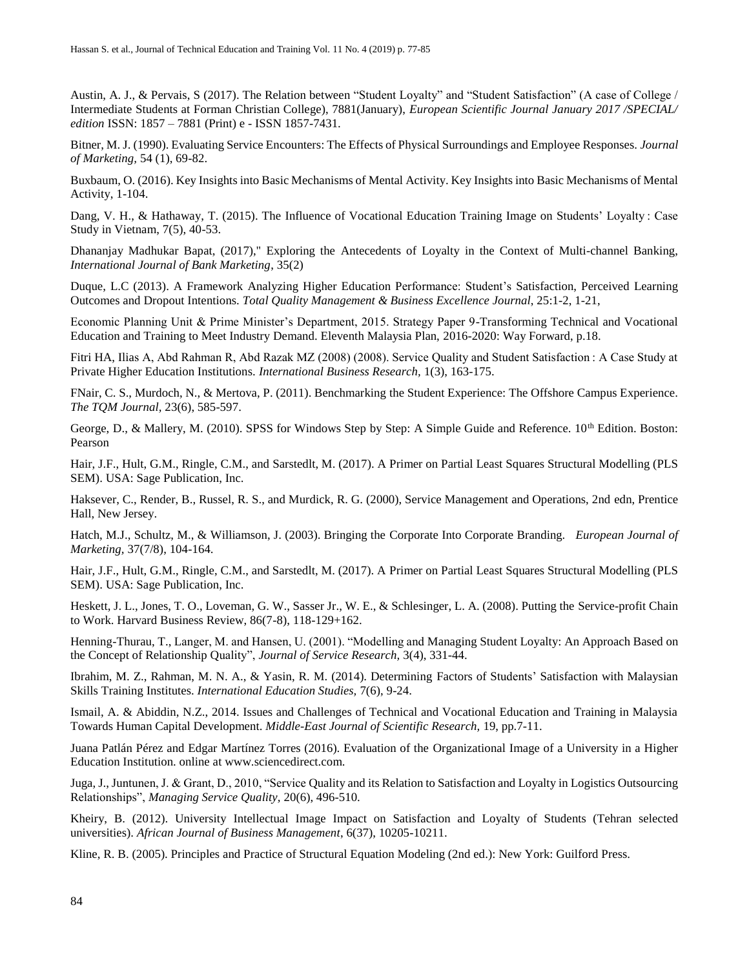Austin, A. J., & Pervais, S (2017). The Relation between "Student Loyalty" and "Student Satisfaction" (A case of College / Intermediate Students at Forman Christian College), 7881(January), *European Scientific Journal January 2017 /SPECIAL/ edition* ISSN: 1857 – 7881 (Print) e - ISSN 1857-7431.

Bitner, M. J. (1990). Evaluating Service Encounters: The Effects of Physical Surroundings and Employee Responses. *Journal of Marketing,* 54 (1), 69-82.

Buxbaum, O. (2016). Key Insights into Basic Mechanisms of Mental Activity. Key Insights into Basic Mechanisms of Mental Activity, 1-104.

Dang, V. H., & Hathaway, T. (2015). The Influence of Vocational Education Training Image on Students' Loyalty : Case Study in Vietnam, 7(5), 40-53.

Dhananjay Madhukar Bapat, (2017)," Exploring the Antecedents of Loyalty in the Context of Multi-channel Banking, *International Journal of Bank Marketing*, 35(2)

Duque, L.C (2013). A Framework Analyzing Higher Education Performance: Student's Satisfaction, Perceived Learning Outcomes and Dropout Intentions. *Total Quality Management & Business Excellence Journal*, 25:1-2, 1-21,

Economic Planning Unit & Prime Minister's Department, 2015. Strategy Paper 9-Transforming Technical and Vocational Education and Training to Meet Industry Demand. Eleventh Malaysia Plan, 2016-2020: Way Forward, p.18.

Fitri HA, Ilias A, Abd Rahman R, Abd Razak MZ (2008) (2008). Service Quality and Student Satisfaction : A Case Study at Private Higher Education Institutions. *International Business Research,* 1(3), 163-175.

FNair, C. S., Murdoch, N., & Mertova, P. (2011). Benchmarking the Student Experience: The Offshore Campus Experience. *The TQM Journal,* 23(6), 585-597.

George, D., & Mallery, M. (2010). SPSS for Windows Step by Step: A Simple Guide and Reference. 10<sup>th</sup> Edition. Boston: Pearson

Hair, J.F., Hult, G.M., Ringle, C.M., and Sarstedlt, M. (2017). A Primer on Partial Least Squares Structural Modelling (PLS SEM). USA: Sage Publication, Inc.

Haksever, C., Render, B., Russel, R. S., and Murdick, R. G. (2000), Service Management and Operations, 2nd edn, Prentice Hall, New Jersey.

Hatch, M.J., Schultz, M., & Williamson, J. (2003). Bringing the Corporate Into Corporate Branding. *European Journal of Marketing,* 37(7/8), 104-164.

Hair, J.F., Hult, G.M., Ringle, C.M., and Sarstedlt, M. (2017). A Primer on Partial Least Squares Structural Modelling (PLS SEM). USA: Sage Publication, Inc.

Heskett, J. L., Jones, T. O., Loveman, G. W., Sasser Jr., W. E., & Schlesinger, L. A. (2008). Putting the Service-profit Chain to Work. Harvard Business Review, 86(7-8), 118-129+162.

Henning-Thurau, T., Langer, M. and Hansen, U. (2001). "Modelling and Managing Student Loyalty: An Approach Based on the Concept of Relationship Quality", *Journal of Service Research,* 3(4), 331-44.

Ibrahim, M. Z., Rahman, M. N. A., & Yasin, R. M. (2014). Determining Factors of Students' Satisfaction with Malaysian Skills Training Institutes. *International Education Studies,* 7(6), 9-24.

Ismail, A. & Abiddin, N.Z., 2014. Issues and Challenges of Technical and Vocational Education and Training in Malaysia Towards Human Capital Development. *Middle-East Journal of Scientific Research,* 19, pp.7-11.

Juana Patlán Pérez and Edgar Martínez Torres (2016). Evaluation of the Organizational Image of a University in a Higher Education Institution. online at www.sciencedirect.com.

Juga, J., Juntunen, J. & Grant, D., 2010, "Service Quality and its Relation to Satisfaction and Loyalty in Logistics Outsourcing Relationships", *Managing Service Quality,* 20(6), 496-510.

Kheiry, B. (2012). University Intellectual Image Impact on Satisfaction and Loyalty of Students (Tehran selected universities). *African Journal of Business Management*, 6(37), 10205-10211.

Kline, R. B. (2005). Principles and Practice of Structural Equation Modeling (2nd ed.): New York: Guilford Press.